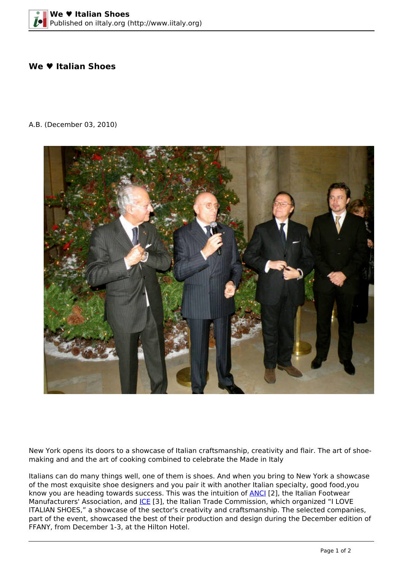## **We ♥ Italian Shoes**

A.B. (December 03, 2010)



New York opens its doors to a showcase of Italian craftsmanship, creativity and flair. The art of shoemaking and and the art of cooking combined to celebrate the Made in Italy

Italians can do many things well, one of them is shoes. And when you bring to New York a showcase of the most exquisite shoe designers and you pair it with another Italian specialty, good food,you know you are heading towards success. This was the intuition of [ANCI](http://www.anci-calzature.com) [2], the Italian Footwear Manufacturers' Association, and *ICE* [3], the Italian Trade Commission, which organized "I LOVE ITALIAN SHOES," a showcase of the sector's creativity and craftsmanship. The selected companies, part of the event, showcased the best of their production and design during the December edition of FFANY, from December 1-3, at the Hilton Hotel.